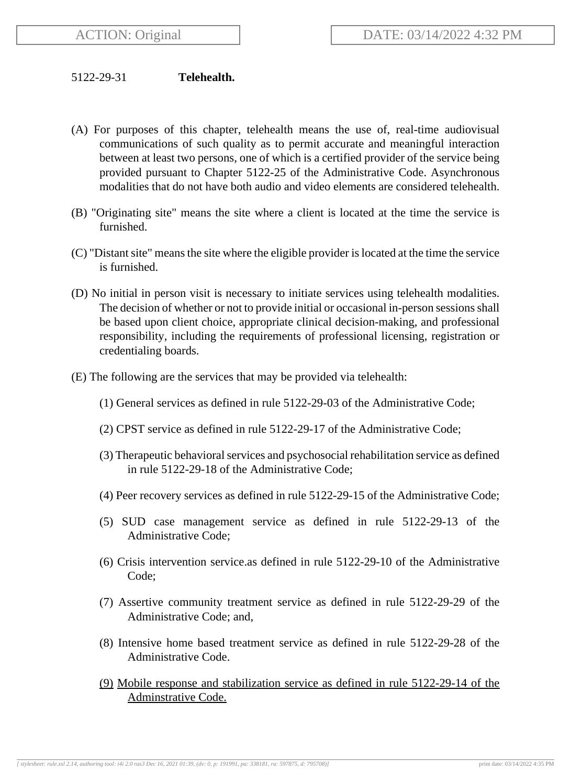## 5122-29-31 **Telehealth.**

- (A) For purposes of this chapter, telehealth means the use of, real-time audiovisual communications of such quality as to permit accurate and meaningful interaction between at least two persons, one of which is a certified provider of the service being provided pursuant to Chapter 5122-25 of the Administrative Code. Asynchronous modalities that do not have both audio and video elements are considered telehealth.
- (B) "Originating site" means the site where a client is located at the time the service is furnished.
- (C) "Distant site" means the site where the eligible provider is located at the time the service is furnished.
- (D) No initial in person visit is necessary to initiate services using telehealth modalities. The decision of whether or not to provide initial or occasional in-person sessions shall be based upon client choice, appropriate clinical decision-making, and professional responsibility, including the requirements of professional licensing, registration or credentialing boards.
- (E) The following are the services that may be provided via telehealth:
	- (1) General services as defined in rule 5122-29-03 of the Administrative Code;
	- (2) CPST service as defined in rule 5122-29-17 of the Administrative Code;
	- (3) Therapeutic behavioral services and psychosocial rehabilitation service as defined in rule 5122-29-18 of the Administrative Code;
	- (4) Peer recovery services as defined in rule 5122-29-15 of the Administrative Code;
	- (5) SUD case management service as defined in rule 5122-29-13 of the Administrative Code;
	- (6) Crisis intervention service.as defined in rule 5122-29-10 of the Administrative Code;
	- (7) Assertive community treatment service as defined in rule 5122-29-29 of the Administrative Code; and,
	- (8) Intensive home based treatment service as defined in rule 5122-29-28 of the Administrative Code.
	- (9) Mobile response and stabilization service as defined in rule 5122-29-14 of the Adminstrative Code.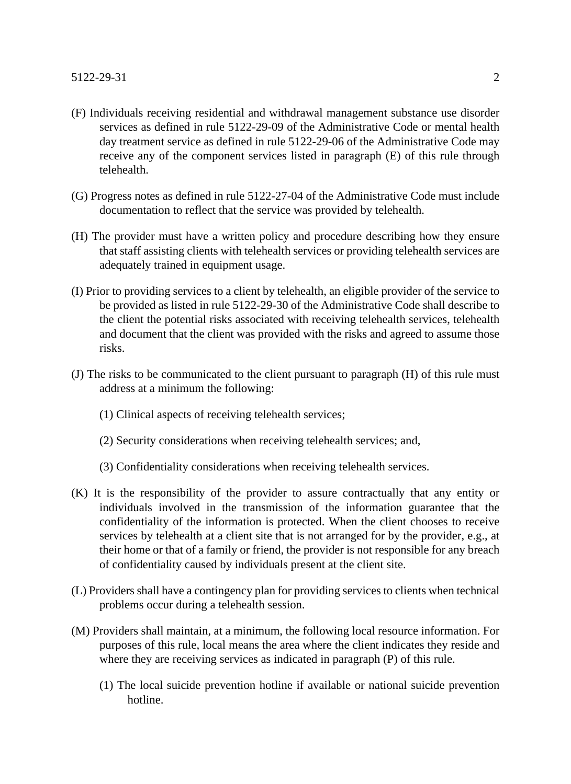- (F) Individuals receiving residential and withdrawal management substance use disorder services as defined in rule 5122-29-09 of the Administrative Code or mental health day treatment service as defined in rule 5122-29-06 of the Administrative Code may receive any of the component services listed in paragraph (E) of this rule through telehealth.
- (G) Progress notes as defined in rule 5122-27-04 of the Administrative Code must include documentation to reflect that the service was provided by telehealth.
- (H) The provider must have a written policy and procedure describing how they ensure that staff assisting clients with telehealth services or providing telehealth services are adequately trained in equipment usage.
- (I) Prior to providing services to a client by telehealth, an eligible provider of the service to be provided as listed in rule 5122-29-30 of the Administrative Code shall describe to the client the potential risks associated with receiving telehealth services, telehealth and document that the client was provided with the risks and agreed to assume those risks.
- (J) The risks to be communicated to the client pursuant to paragraph (H) of this rule must address at a minimum the following:
	- (1) Clinical aspects of receiving telehealth services;
	- (2) Security considerations when receiving telehealth services; and,
	- (3) Confidentiality considerations when receiving telehealth services.
- (K) It is the responsibility of the provider to assure contractually that any entity or individuals involved in the transmission of the information guarantee that the confidentiality of the information is protected. When the client chooses to receive services by telehealth at a client site that is not arranged for by the provider, e.g., at their home or that of a family or friend, the provider is not responsible for any breach of confidentiality caused by individuals present at the client site.
- (L) Providers shall have a contingency plan for providing services to clients when technical problems occur during a telehealth session.
- (M) Providers shall maintain, at a minimum, the following local resource information. For purposes of this rule, local means the area where the client indicates they reside and where they are receiving services as indicated in paragraph (P) of this rule.
	- (1) The local suicide prevention hotline if available or national suicide prevention hotline.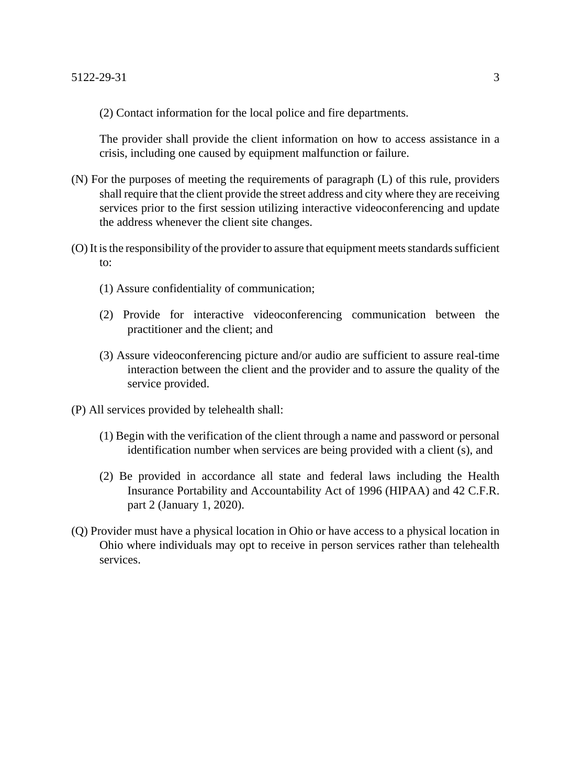(2) Contact information for the local police and fire departments.

The provider shall provide the client information on how to access assistance in a crisis, including one caused by equipment malfunction or failure.

- (N) For the purposes of meeting the requirements of paragraph (L) of this rule, providers shall require that the client provide the street address and city where they are receiving services prior to the first session utilizing interactive videoconferencing and update the address whenever the client site changes.
- (O) It is the responsibility of the provider to assure that equipment meets standards sufficient to:
	- (1) Assure confidentiality of communication;
	- (2) Provide for interactive videoconferencing communication between the practitioner and the client; and
	- (3) Assure videoconferencing picture and/or audio are sufficient to assure real-time interaction between the client and the provider and to assure the quality of the service provided.
- (P) All services provided by telehealth shall:
	- (1) Begin with the verification of the client through a name and password or personal identification number when services are being provided with a client (s), and
	- (2) Be provided in accordance all state and federal laws including the Health Insurance Portability and Accountability Act of 1996 (HIPAA) and 42 C.F.R. part 2 (January 1, 2020).
- (Q) Provider must have a physical location in Ohio or have access to a physical location in Ohio where individuals may opt to receive in person services rather than telehealth services.